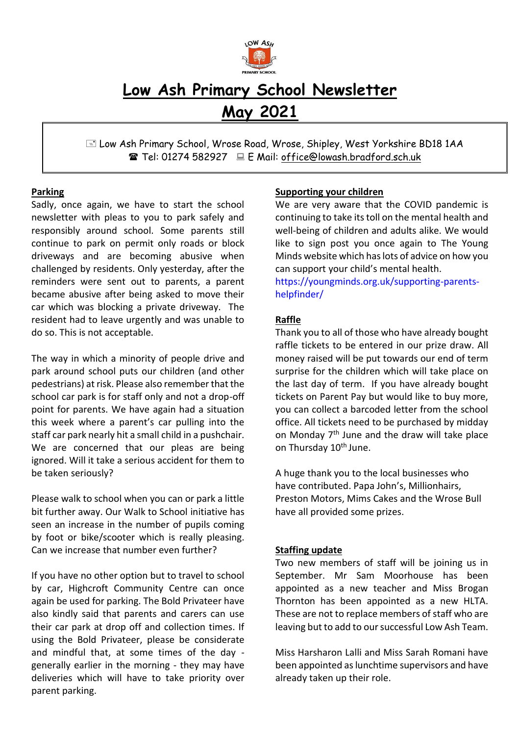

# **Low Ash Primary School Newsletter May 2021**

 Low Ash Primary School, Wrose Road, Wrose, Shipley, West Yorkshire BD18 1AA Tel: 01274 582927 E Mail: office@lowash.bradford.sch.uk

## **Parking**

Sadly, once again, we have to start the school newsletter with pleas to you to park safely and responsibly around school. Some parents still continue to park on permit only roads or block driveways and are becoming abusive when challenged by residents. Only yesterday, after the reminders were sent out to parents, a parent became abusive after being asked to move their car which was blocking a private driveway. The resident had to leave urgently and was unable to do so. This is not acceptable.

The way in which a minority of people drive and park around school puts our children (and other pedestrians) at risk. Please also remember that the school car park is for staff only and not a drop-off point for parents. We have again had a situation this week where a parent's car pulling into the staff car park nearly hit a small child in a pushchair. We are concerned that our pleas are being ignored. Will it take a serious accident for them to be taken seriously?

Please walk to school when you can or park a little bit further away. Our Walk to School initiative has seen an increase in the number of pupils coming by foot or bike/scooter which is really pleasing. Can we increase that number even further?

If you have no other option but to travel to school by car, Highcroft Community Centre can once again be used for parking. The Bold Privateer have also kindly said that parents and carers can use their car park at drop off and collection times. If using the Bold Privateer, please be considerate and mindful that, at some times of the day generally earlier in the morning - they may have deliveries which will have to take priority over parent parking.

### **Supporting your children**

We are very aware that the COVID pandemic is continuing to take its toll on the mental health and well-being of children and adults alike. We would like to sign post you once again to The Young Minds website which has lots of advice on how you can support your child's mental health.

[https://youngminds.org.uk/supporting-parents](https://youngminds.org.uk/supporting-parents-helpfinder/)[helpfinder/](https://youngminds.org.uk/supporting-parents-helpfinder/)

## **Raffle**

Thank you to all of those who have already bought raffle tickets to be entered in our prize draw. All money raised will be put towards our end of term surprise for the children which will take place on the last day of term. If you have already bought tickets on Parent Pay but would like to buy more, you can collect a barcoded letter from the school office. All tickets need to be purchased by midday on Monday 7<sup>th</sup> June and the draw will take place on Thursday 10<sup>th</sup> June.

A huge thank you to the local businesses who have contributed. Papa John's, Millionhairs, Preston Motors, Mims Cakes and the Wrose Bull have all provided some prizes.

### **Staffing update**

Two new members of staff will be joining us in September. Mr Sam Moorhouse has been appointed as a new teacher and Miss Brogan Thornton has been appointed as a new HLTA. These are not to replace members of staff who are leaving but to add to our successful Low Ash Team.

Miss Harsharon Lalli and Miss Sarah Romani have been appointed as lunchtime supervisors and have already taken up their role.